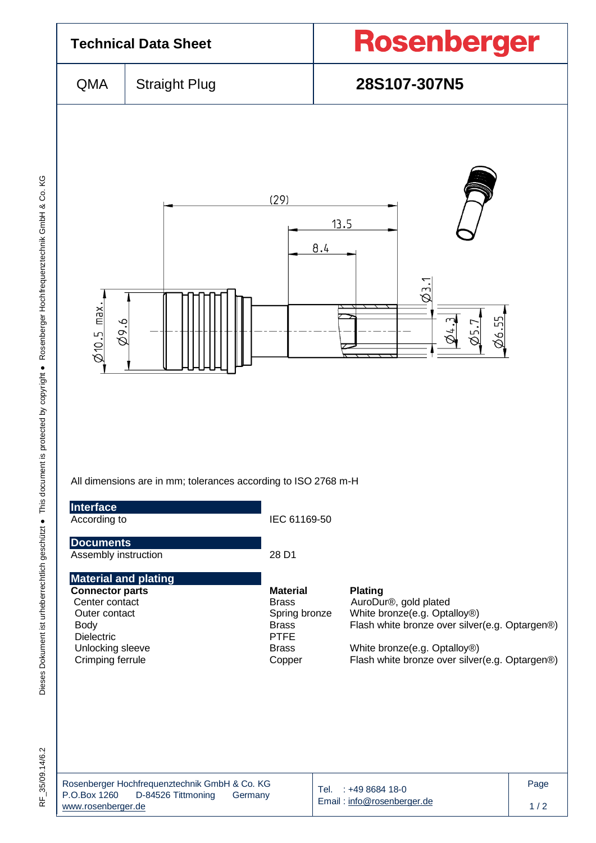

RF 35/09.14/6.2